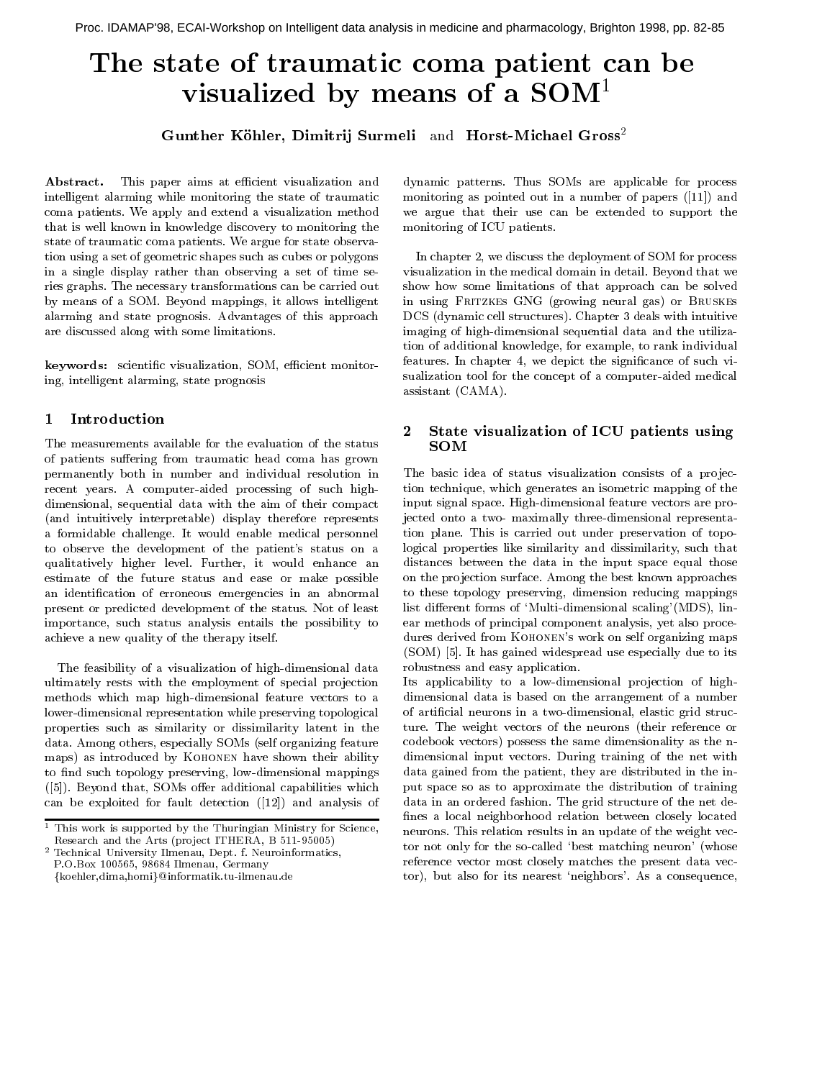# The state of traumatic coma patient can be visualized by means of a  $SOM<sup>1</sup>$

Gunther K-ohler Dimitrij Surmeli and HorstMichael Gross

Abstract- This paper aims at e-cient visualization and intelligent alarming while monitoring the state of traumatic coma patients We apply and extend a visualization method that is well known in knowledge discovery to monitoring the state of traumatic coma patients We argue for state observa tion using a set of geometric shapes such as cubes or polygons in a single display rather than observing a set of time se ries graphs The necessary transformations can be carried out by means of a SOM. Beyond mappings, it allows intelligent alarming and state prognosis Advantages of this approach are discussed along with some limitations

keywords scientic visualization SOM e-cient monitor ing, intelligent alarming, state prognosis

# Introduction

The measurements available for the evaluation of the status of patients suffering from traumatic head coma has grown permanently both in number and individual resolution in recent years. A computer-aided processing of such highdimensional, sequential data with the aim of their compact (and intuitively interpretable) display therefore represents a formidable challenge. It would enable medical personnel to observe the development of the patient s status on a qualitatively higher level. Further, it would enhance an estimate of the future status and ease or make possible an identification of erroneous emergencies in an abnormal present or predicted development of the status Not of least importance, such status analysis entails the possibility to achieve a new quality of the therapy itself

The feasibility of a visualization of high-dimensional data ultimately rests with the employment of special projection methods which map high-dimensional feature vectors to a lower-dimensional representation while preserving topological properties such as similarity or dissimilarity latent in the data. Among others, especially SOMs (self organizing feature maps) as introduced by KOHONEN have shown their ability to find such topology preserving, low-dimensional mappings  $([5])$ . Beyond that, SOMs offer additional capabilities which can be exploited for fault detection  $(12)$  and analysis of dynamic patterns Thus SOMs are applicable for process monitoring as pointed out in a number of papers  $([11])$  and we argue that their use can be extended to support the monitoring of ICU patients

In chapter 2, we discuss the deployment of SOM for process visualization in the medical domain in detail Beyond that we show how some limitations of that approach can be solved in using FRITZKES GNG (growing neural gas) or BRUSKES DCS (dynamic cell structures). Chapter 3 deals with intuitive imaging of high-dimensional sequential data and the utilization of additional knowledge, for example, to rank individual features. In chapter 4, we depict the significance of such visualization tool for the concept of a computer-aided medical assistant CAMA 

# State visualization of ICU patients using **SOM**

The basic idea of status visualization consists of a projection technique, which generates an isometric mapping of the input signal space. High-dimensional feature vectors are projected onto a two- maximally three-dimensional representation plane. This is carried out under preservation of topological properties like similarity and dissimilarity, such that distances between the data in the input space equal those on the projection surface. Among the best known approaches to these topology preserving, dimension reducing mappings list dierent forms of Multidimensional scaling MDS lin ear methods of principal component analysis, yet also procea work on s work on self organizing the from the state maps maps of the state  $\alpha$ (SOM) [5]. It has gained widespread use especially due to its robustness and easy application

 neurons This relation results in an update of the weight vec Its applicability to a low-dimensional projection of highdimensional data is based on the arrangement of a number of artificial neurons in a two-dimensional, elastic grid structure. The weight vectors of the neurons (their reference or codebook vectors) possess the same dimensionality as the ndimensional input vectors During training of the net with data gained from the patient, they are distributed in the input space so as to approximate the distribution of training data in an ordered fashion The grid structure of the net de fines a local neighborhood relation between closely located tor not only for the socalled best matching neuron whose reference vector most closely matches the present data vec to but also for its nearest nearest nearest nearest nearest nearest nearest nearest nearest nearest nearest ne

 $\,$  This work is supported by the Thuringian Ministry for Science,  $\,$ Research and the Arts (project ITHERA, B 511-95005)

 $^2$  Technical University Ilmenau, Dept. f. Neuroinformatics,

reduced the contract of the contract of the contract of the contract of the contract of the contract of the contract of the contract of the contract of the contract of the contract of the contract of the contract of the co {koehler,dima,homi}@informatik.tu-ilmenau.de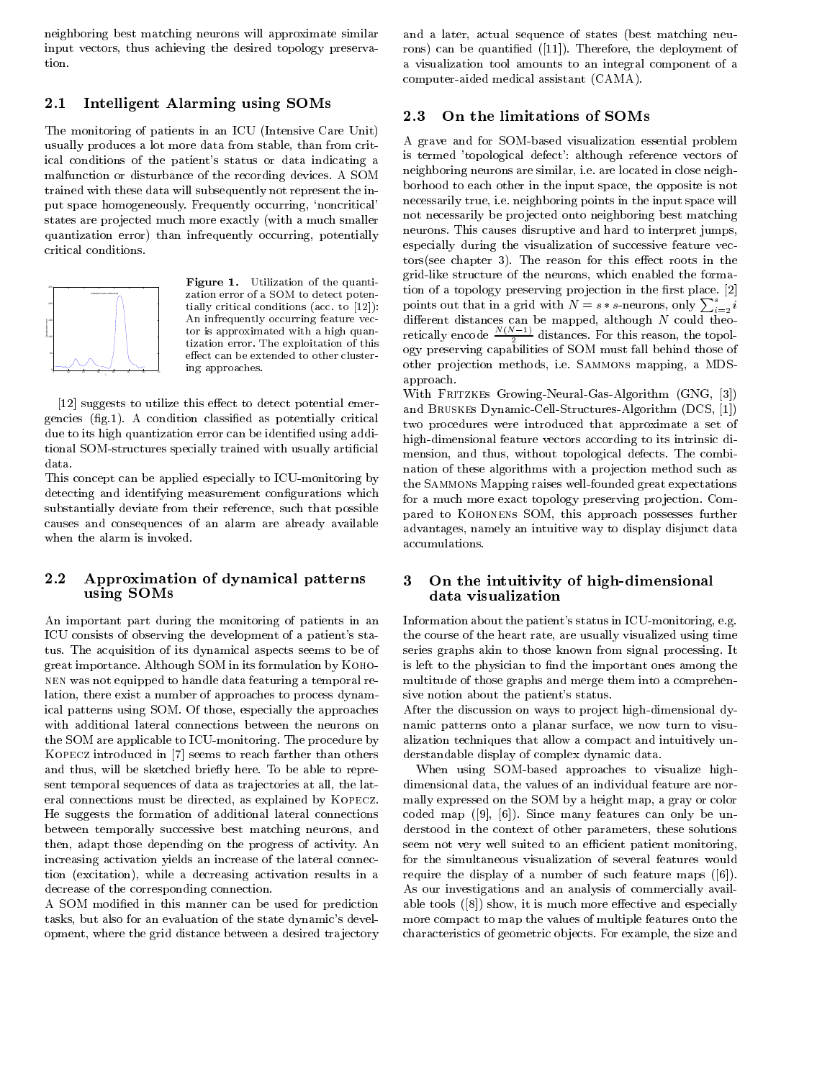neighboring best matching neurons will approximate similar input vectors, thus achieving the desired topology preservation

# 2.1 Intelligent Alarming using SOMs

The monitoring of patients in an ICU (Intensive Care Unit) usually produces a lot more data from stable, than from critical conditions of the patient s status or data indicating a malfunction or disturbance of the recording devices A SOM trained with these data will subsequently not represent the in put space homogeneously. Frequently occurring, 'noncritical' states are projected much more exactly (with a much smaller quantization error) than infrequently occurring, potentially critical conditions



 $\frac{1}{\text{Figure 1.} \quad \text{Unization on the quantum-}$   $\frac{1}{\text{2}}$ utilization of the quantity of the quantity of the quantity of the quantity of the quantity of the quantity of tially critical conditions and part of property. An infrequently occurring feature vec tor is approximated with a high quan tization error enter inspection of the extra this control to the extensive of the extensive of the extensive o effect can be extended to other clustering approaches

[12] suggests to utilize this effect to detect potential emergencies  $(fig.1)$ . A condition classified as potentially critical due to its high quantization error can be identified using additional SOM-structures specially trained with usually artificial data

This concept can be applied especially to ICU-monitoring by detecting and identifying measurement configurations which substantially deviate from their reference, such that possible causes and consequences of an alarm are already available when the alarm is invoked

### 2.2 Approximation of dynamical patterns 3 using SOMs

An important part during the monitoring of patients in an s statements of observing the development of a patient of a contract of a patient of a patient of a patient of tus. The acquisition of its dynamical aspects seems to be of great importance Although SOM in its formulation by Kohonen was not equipped to handle data featuring a temporal re lation, there exist a number of approaches to process dynamical patterns using SOM. Of those, especially the approaches with additional lateral connections between the neurons on the SOM are applicable to ICU-monitoring. The procedure by KOPECZ introduced in [7] seems to reach farther than others and thus, will be sketched briefly here. To be able to represent temporal sequences of data as trajectories at all, the lateral connections must be directed, as explained by KOPECZ. He suggests the formation of additional lateral connections between temporally successive best matching neurons, and then, adapt those depending on the progress of activity. An increasing activation yields an increase of the lateral connec tion (excitation), while a decreasing activation results in a decrease of the corresponding connection

A SOM modified in this manner can be used for prediction tasks but also for an evaluation of the state dynamic s devel opment, where the grid distance between a desired trajectory

and a later, actual sequence of states (best matching neurons) can be quantified  $([11])$ . Therefore, the deployment of a visualization toolamounts to an integral component of a computer-aided medical assistant (CAMA).

### 2.3 On the limitations of SOMs

 not necessarily be pro jected onto neighboring best matching A grave and for SOM-based visualization essential problem is termed topological defect although reference vectors of neighboring neurons are similar, i.e. are located in close neighborhood to each other in the input space, the opposite is not necessarily true, i.e. neighboring points in the input space will neurons. This causes disruptive and hard to interpret jumps, especially during the visualization of successive feature vec  $tors(see chapter 3)$ . The reason for this effect roots in the grid-like structure of the neurons, which enabled the formation of a topology preserving projection in the first place.  $[2]$ points out that in a grid with  $N = s*s$ -neurons, only  $\sum_{i=2}^s i$ different distances can be mapped, although N could theoretically encode  $\frac{N(N-1)}{2}$  distances. For this reason, the topol-ogy preserving capabilities of SOM must fall behind those of other projection methods, i.e. SAMMONS mapping, a MDSapproach

With FRITZKES Growing-Neural-Gas-Algorithm  $(GNG, [3])$ and BRUSKES Dynamic-Cell-Structures Algorithm (DCS, [1]) two procedures were introduced that approximate a set of high-dimensional feature vectors according to its intrinsic dimension, and thus, without topological defects. The combination of these algorithms with a projection method such as the SAMMONs Mapping raises well-founded great expectations for a much more exact topology preserving projection. Compared to KOHONENS SOM, this approach possesses further advantages, namely an intuitive way to display disjunct data accumulations

### On the intuitivity of high-dimensional data visualization

 is left to the physician to nd the important ones among the Information about the patient s status in ICUmonitoring eg the course of the heart rate, are usually visualized using time series graphs akin to those known from signal processing It multitude of those graphs and merge them into a comprehen sive notion about the patient of the patient of the patient of the patient of the patient of the patient of th

After the discussion on ways to project high-dimensional dynamic patterns onto a planar surface, we now turn to visualization techniques that allow a compact and intuitively un derstandable display of complex dynamic data

When using SOM-based approaches to visualize highdimensional data, the values of an individual feature are normally expressed on the SOM by a height map, a gray or color coded map  $([9], [6])$ . Since many features can only be understood in the context of other parameters, these solutions seem not very well suited to an e-cient patient monitoring for the simultaneous visualization of several features would require the display of a number of such feature maps  $([6])$ . As our investigations and an analysis of commercially avail able tools  $([8])$  show, it is much more effective and especially more compact to map the values of multiple features onto the characteristics of geometric objects. For example, the size and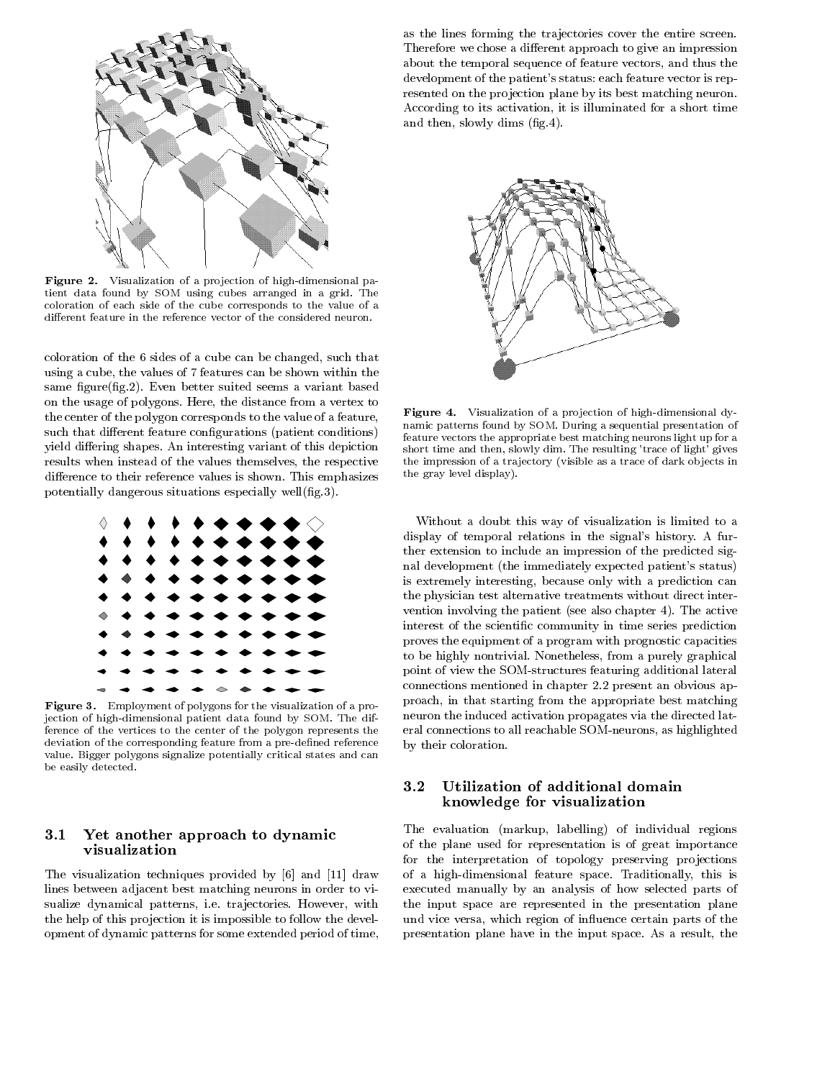

**Figure 2.** Visualization of a projection of high-dimensional patient data found by SOM using cubes arranged in a grid The coloration of each side of the cube corresponds to the value of a different feature in the reference vector of the considered neuron.

coloration of the 6 sides of a cube can be changed, such that using a cube, the values of 7 features can be shown within the same figure(fig.2). Even better suited seems a variant based on the usage of polygons. Here, the distance from a vertex to the center of the polygon corresponds to the value of a feature such that different feature configurations (patient conditions) yield differing shapes. An interesting variant of this depiction results when instead of the values themselves, the respective difference to their reference values is shown. This emphasizes potentially dangerous situations especially well $(fig.3)$ .



**Figure 3.** Employment of polygons for the visualization of a projection of highdimensional patient data found by SOM The dif ference of the vertices to the center of the polygon represents the deviation of the corresponding feature from a pre-defined reference value Bigger polygons signalize potentially critical states and can be easily detected

#### $3.1$  Yet another approach to dynamic visualization

The visualization techniques provided by  $[6]$  and  $[11]$  draw lines between adjacent best matching neurons in order to vi sualize dynamical patterns, i.e. trajectories. However, with the help of this projection it is impossible to follow the development of dynamic patterns for some extended period of time as the lines forming the trajectories cover the entire screen. Therefore we chose a different approach to give an impression about the temporal sequence of feature vectors, and thus the development of the patient of the patient of the patient of the patient of the patient of the patient of the p resented on the projection plane by its best matching neuron. According to its activation, it is illuminated for a short time and then, slowly dims  $(fig.4)$ .



**Figure 4.** Visualization of a projection of high-dimensional dynamic patterns found by SOM During a sequential presentation of feature vectors the appropriate best matching neurons light up for a short time and the resulting them the resulting trace of light gives  $\sim$ the impression of a trajectory (visible as a trace of dark objects in the gray level display 

Without a doubt this way of visualization is limited to a display of temporal relations in the signal s history A fur ther extension to include an impression of the predicted sig nal development the immediately expected patients of the immediately expected patients of the immediately expected patients. In the immediately expected patients of the immediately expected patients of the immediately expe is extremely interesting, because only with a prediction can the physician test alternative treatments without direct inter vention involving the patient (see also chapter  $4$ ). The active interest of the scientific community in time series prediction proves the equipment of a program with prognostic capacities to be highly nontrivial. Nonetheless, from a purely graphical point of view the SOM-structures featuring additional lateral connections mentioned in chapter 2.2 present an obvious approach in that starting from the appropriate best matching neuron the induced activation propagates via the directed lat eral connections to all reachable SOM-neurons, as highlighted by their coloration

# Utilization of additional domain knowledge for visualization

The evaluation (markup, labelling) of individual regions of the plane used for representation is of great importance for the interpretation of topology preserving projections of a high-dimensional feature space. Traditionally, this is executed manually by an analysis of how selected parts of the input space are represented in the presentation plane und vice versa, which region of influence certain parts of the presentation plane have in the input space. As a result, the